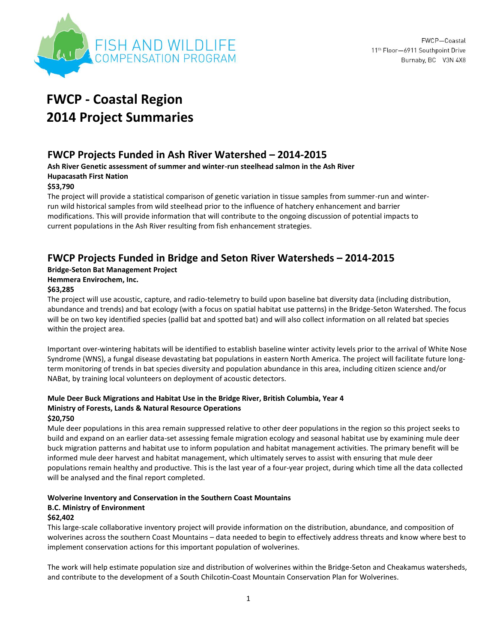

# **FWCP - Coastal Region 2014 Project Summaries**

# **FWCP Projects Funded in Ash River Watershed – 2014-2015**

**Ash River Genetic assessment of summer and winter-run steelhead salmon in the Ash River Hupacasath First Nation** 

### **\$53,790**

The project will provide a statistical comparison of genetic variation in tissue samples from summer-run and winterrun wild historical samples from wild steelhead prior to the influence of hatchery enhancement and barrier modifications. This will provide information that will contribute to the ongoing discussion of potential impacts to current populations in the Ash River resulting from fish enhancement strategies.

# **FWCP Projects Funded in Bridge and Seton River Watersheds – 2014-2015**

### **Bridge-Seton Bat Management Project**

### **Hemmera Envirochem, Inc.**

### **\$63,285**

The project will use acoustic, capture, and radio-telemetry to build upon baseline bat diversity data (including distribution, abundance and trends) and bat ecology (with a focus on spatial habitat use patterns) in the Bridge-Seton Watershed. The focus will be on two key identified species (pallid bat and spotted bat) and will also collect information on all related bat species within the project area.

Important over-wintering habitats will be identified to establish baseline winter activity levels prior to the arrival of White Nose Syndrome (WNS), a fungal disease devastating bat populations in eastern North America. The project will facilitate future longterm monitoring of trends in bat species diversity and population abundance in this area, including citizen science and/or NABat, by training local volunteers on deployment of acoustic detectors.

### **Mule Deer Buck Migrations and Habitat Use in the Bridge River, British Columbia, Year 4 Ministry of Forests, Lands & Natural Resource Operations \$20,750**

Mule deer populations in this area remain suppressed relative to other deer populations in the region so this project seeks to build and expand on an earlier data-set assessing female migration ecology and seasonal habitat use by examining mule deer buck migration patterns and habitat use to inform population and habitat management activities. The primary benefit will be informed mule deer harvest and habitat management, which ultimately serves to assist with ensuring that mule deer populations remain healthy and productive. This is the last year of a four-year project, during which time all the data collected will be analysed and the final report completed.

### **Wolverine Inventory and Conservation in the Southern Coast Mountains B.C. Ministry of Environment \$62,402**

This large‐scale collaborative inventory project will provide information on the distribution, abundance, and composition of wolverines across the southern Coast Mountains – data needed to begin to effectively address threats and know where best to implement conservation actions for this important population of wolverines.

The work will help estimate population size and distribution of wolverines within the Bridge-Seton and Cheakamus watersheds, and contribute to the development of a South Chilcotin‐Coast Mountain Conservation Plan for Wolverines.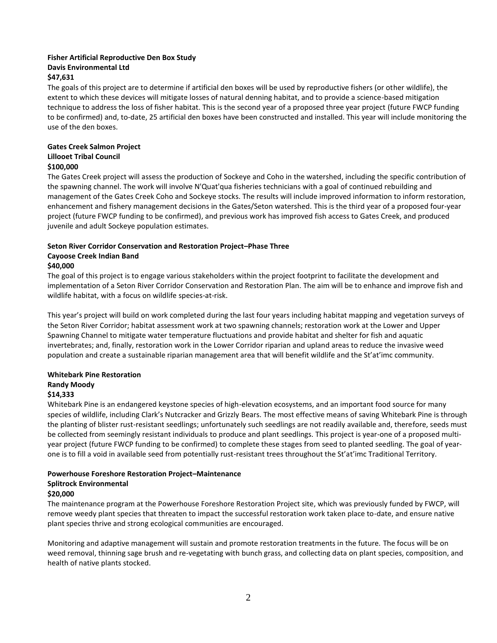# **Fisher Artificial Reproductive Den Box Study Davis Environmental Ltd**

### **\$47,631**

The goals of this project are to determine if artificial den boxes will be used by reproductive fishers (or other wildlife), the extent to which these devices will mitigate losses of natural denning habitat, and to provide a science-based mitigation technique to address the loss of fisher habitat. This is the second year of a proposed three year project (future FWCP funding to be confirmed) and, to-date, 25 artificial den boxes have been constructed and installed. This year will include monitoring the use of the den boxes.

### **Gates Creek Salmon Project Lillooet Tribal Council \$100,000**

The Gates Creek project will assess the production of Sockeye and Coho in the watershed, including the specific contribution of the spawning channel. The work will involve N'Quat'qua fisheries technicians with a goal of continued rebuilding and management of the Gates Creek Coho and Sockeye stocks. The results will include improved information to inform restoration, enhancement and fishery management decisions in the Gates/Seton watershed. This is the third year of a proposed four-year project (future FWCP funding to be confirmed), and previous work has improved fish access to Gates Creek, and produced juvenile and adult Sockeye population estimates.

# **Seton River Corridor Conservation and Restoration Project–Phase Three Cayoose Creek Indian Band**

### **\$40,000**

The goal of this project is to engage various stakeholders within the project footprint to facilitate the development and implementation of a Seton River Corridor Conservation and Restoration Plan. The aim will be to enhance and improve fish and wildlife habitat, with a focus on wildlife species-at-risk.

This year's project will build on work completed during the last four years including habitat mapping and vegetation surveys of the Seton River Corridor; habitat assessment work at two spawning channels; restoration work at the Lower and Upper Spawning Channel to mitigate water temperature fluctuations and provide habitat and shelter for fish and aquatic invertebrates; and, finally, restoration work in the Lower Corridor riparian and upland areas to reduce the invasive weed population and create a sustainable riparian management area that will benefit wildlife and the St'at'imc community.

#### **Whitebark Pine Restoration Randy Moody**

### **\$14,333**

Whitebark Pine is an endangered keystone species of high-elevation ecosystems, and an important food source for many species of wildlife, including Clark's Nutcracker and Grizzly Bears. The most effective means of saving Whitebark Pine is through the planting of blister rust-resistant seedlings; unfortunately such seedlings are not readily available and, therefore, seeds must be collected from seemingly resistant individuals to produce and plant seedlings. This project is year-one of a proposed multiyear project (future FWCP funding to be confirmed) to complete these stages from seed to planted seedling. The goal of yearone is to fill a void in available seed from potentially rust-resistant trees throughout the St'at'imc Traditional Territory.

### **Powerhouse Foreshore Restoration Project–Maintenance Splitrock Environmental \$20,000**

### The maintenance program at the Powerhouse Foreshore Restoration Project site, which was previously funded by FWCP, will remove weedy plant species that threaten to impact the successful restoration work taken place to-date, and ensure native plant species thrive and strong ecological communities are encouraged.

Monitoring and adaptive management will sustain and promote restoration treatments in the future. The focus will be on weed removal, thinning sage brush and re-vegetating with bunch grass, and collecting data on plant species, composition, and health of native plants stocked.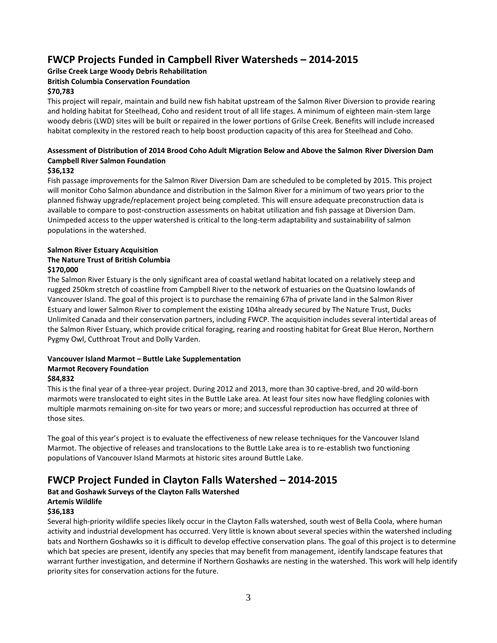# **FWCP Projects Funded in Campbell River Watersheds – 2014-2015**

### **Grilse Creek Large Woody Debris Rehabilitation**

### **British Columbia Conservation Foundation**

### **\$70,783**

This project will repair, maintain and build new fish habitat upstream of the Salmon River Diversion to provide rearing and holding habitat for Steelhead, Coho and resident trout of all life stages. A minimum of eighteen main-stem large woody debris (LWD) sites will be built or repaired in the lower portions of Grilse Creek. Benefits will include increased habitat complexity in the restored reach to help boost production capacity of this area for Steelhead and Coho.

### **Assessment of Distribution of 2014 Brood Coho Adult Migration Below and Above the Salmon River Diversion Dam Campbell River Salmon Foundation**

### **\$36,132**

Fish passage improvements for the Salmon River Diversion Dam are scheduled to be completed by 2015. This project will monitor Coho Salmon abundance and distribution in the Salmon River for a minimum of two years prior to the planned fishway upgrade/replacement project being completed. This will ensure adequate preconstruction data is available to compare to post-construction assessments on habitat utilization and fish passage at Diversion Dam. Unimpeded access to the upper watershed is critical to the long-term adaptability and sustainability of salmon populations in the watershed.

### **Salmon River Estuary Acquisition The Nature Trust of British Columbia \$170,000**

The Salmon River Estuary is the only significant area of coastal wetland habitat located on a relatively steep and rugged 250km stretch of coastline from Campbell River to the network of estuaries on the Quatsino lowlands of Vancouver Island. The goal of this project is to purchase the remaining 67ha of private land in the Salmon River Estuary and lower Salmon River to complement the existing 104ha already secured by The Nature Trust, Ducks Unlimited Canada and their conservation partners, including FWCP. The acquisition includes several intertidal areas of the Salmon River Estuary, which provide critical foraging, rearing and roosting habitat for Great Blue Heron, Northern Pygmy Owl, Cutthroat Trout and Dolly Varden.

# **Vancouver Island Marmot – Buttle Lake Supplementation Marmot Recovery Foundation**

### **\$84,832**

This is the final year of a three-year project. During 2012 and 2013, more than 30 captive-bred, and 20 wild-born marmots were translocated to eight sites in the Buttle Lake area. At least four sites now have fledgling colonies with multiple marmots remaining on-site for two years or more; and successful reproduction has occurred at three of those sites.

The goal of this year's project is to evaluate the effectiveness of new release techniques for the Vancouver Island Marmot. The objective of releases and translocations to the Buttle Lake area is to re-establish two functioning populations of Vancouver Island Marmots at historic sites around Buttle Lake.

# **FWCP Project Funded in Clayton Falls Watershed – 2014-2015**

# **Bat and Goshawk Surveys of the Clayton Falls Watershed**

### **Artemis Wildlife**

### **\$36,183**

Several high-priority wildlife species likely occur in the Clayton Falls watershed, south west of Bella Coola, where human activity and industrial development has occurred. Very little is known about several species within the watershed including bats and Northern Goshawks so it is difficult to develop effective conservation plans. The goal of this project is to determine which bat species are present, identify any species that may benefit from management, identify landscape features that warrant further investigation, and determine if Northern Goshawks are nesting in the watershed. This work will help identify priority sites for conservation actions for the future.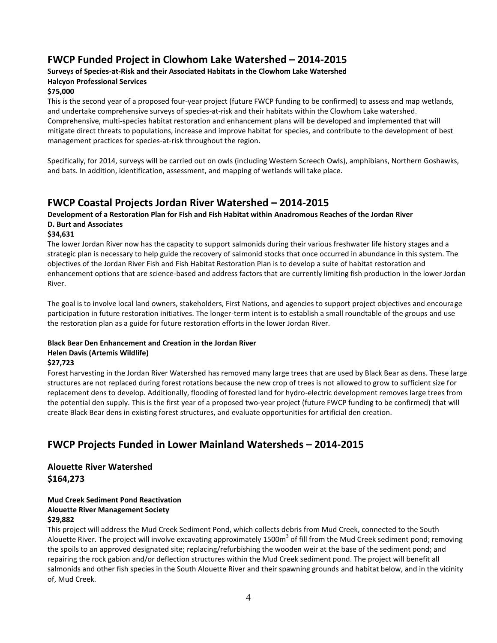# **FWCP Funded Project in Clowhom Lake Watershed – 2014-2015**

### **Surveys of Species-at-Risk and their Associated Habitats in the Clowhom Lake Watershed Halcyon Professional Services**

### **\$75,000**

This is the second year of a proposed four-year project (future FWCP funding to be confirmed) to assess and map wetlands, and undertake comprehensive surveys of species-at-risk and their habitats within the Clowhom Lake watershed. Comprehensive, multi-species habitat restoration and enhancement plans will be developed and implemented that will mitigate direct threats to populations, increase and improve habitat for species, and contribute to the development of best management practices for species-at-risk throughout the region.

Specifically, for 2014, surveys will be carried out on owls (including Western Screech Owls), amphibians, Northern Goshawks, and bats. In addition, identification, assessment, and mapping of wetlands will take place.

# **FWCP Coastal Projects Jordan River Watershed – 2014-2015**

### **Development of a Restoration Plan for Fish and Fish Habitat within Anadromous Reaches of the Jordan River D. Burt and Associates**

### **\$34,631**

The lower Jordan River now has the capacity to support salmonids during their various freshwater life history stages and a strategic plan is necessary to help guide the recovery of salmonid stocks that once occurred in abundance in this system. The objectives of the Jordan River Fish and Fish Habitat Restoration Plan is to develop a suite of habitat restoration and enhancement options that are science-based and address factors that are currently limiting fish production in the lower Jordan River.

The goal is to involve local land owners, stakeholders, First Nations, and agencies to support project objectives and encourage participation in future restoration initiatives. The longer-term intent is to establish a small roundtable of the groups and use the restoration plan as a guide for future restoration efforts in the lower Jordan River.

### **Black Bear Den Enhancement and Creation in the Jordan River Helen Davis (Artemis Wildlife)**

### **\$27,723**

Forest harvesting in the Jordan River Watershed has removed many large trees that are used by Black Bear as dens. These large structures are not replaced during forest rotations because the new crop of trees is not allowed to grow to sufficient size for replacement dens to develop. Additionally, flooding of forested land for hydro-electric development removes large trees from the potential den supply. This is the first year of a proposed two-year project (future FWCP funding to be confirmed) that will create Black Bear dens in existing forest structures, and evaluate opportunities for artificial den creation.

# **FWCP Projects Funded in Lower Mainland Watersheds – 2014-2015**

### **Alouette River Watershed \$164,273**

#### **Mud Creek Sediment Pond Reactivation Alouette River Management Society \$29,882**

This project will address the Mud Creek Sediment Pond, which collects debris from Mud Creek, connected to the South Alouette River. The project will involve excavating approximately 1500m<sup>3</sup> of fill from the Mud Creek sediment pond; removing the spoils to an approved designated site; replacing/refurbishing the wooden weir at the base of the sediment pond; and repairing the rock gabion and/or deflection structures within the Mud Creek sediment pond. The project will benefit all salmonids and other fish species in the South Alouette River and their spawning grounds and habitat below, and in the vicinity of, Mud Creek.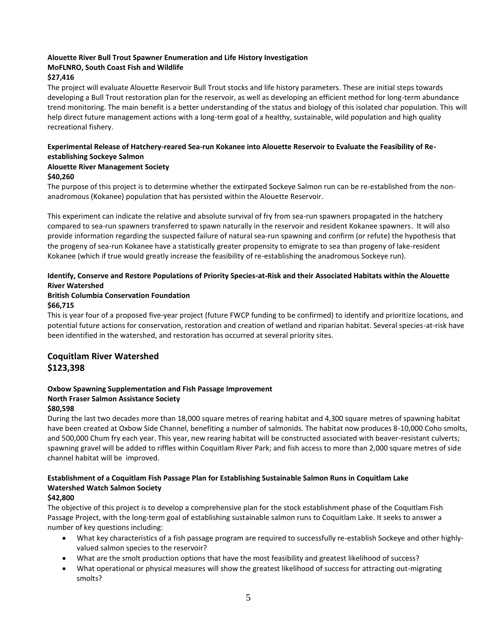### **Alouette River Bull Trout Spawner Enumeration and Life History Investigation MoFLNRO, South Coast Fish and Wildlife**

### **\$27,416**

The project will evaluate Alouette Reservoir Bull Trout stocks and life history parameters. These are initial steps towards developing a Bull Trout restoration plan for the reservoir, as well as developing an efficient method for long-term abundance trend monitoring. The main benefit is a better understanding of the status and biology of this isolated char population. This will help direct future management actions with a long-term goal of a healthy, sustainable, wild population and high quality recreational fishery.

### **Experimental Release of Hatchery-reared Sea-run Kokanee into Alouette Reservoir to Evaluate the Feasibility of Reestablishing Sockeye Salmon**

### **Alouette River Management Society**

### **\$40,260**

The purpose of this project is to determine whether the extirpated Sockeye Salmon run can be re-established from the nonanadromous (Kokanee) population that has persisted within the Alouette Reservoir.

This experiment can indicate the relative and absolute survival of fry from sea-run spawners propagated in the hatchery compared to sea-run spawners transferred to spawn naturally in the reservoir and resident Kokanee spawners. It will also provide information regarding the suspected failure of natural sea-run spawning and confirm (or refute) the hypothesis that the progeny of sea-run Kokanee have a statistically greater propensity to emigrate to sea than progeny of lake-resident Kokanee (which if true would greatly increase the feasibility of re-establishing the anadromous Sockeye run).

### **Identify, Conserve and Restore Populations of Priority Species-at-Risk and their Associated Habitats within the Alouette River Watershed**

#### **British Columbia Conservation Foundation \$66,715**

This is year four of a proposed five-year project (future FWCP funding to be confirmed) to identify and prioritize locations, and potential future actions for conservation, restoration and creation of wetland and riparian habitat. Several species-at-risk have been identified in the watershed, and restoration has occurred at several priority sites.

# **Coquitlam River Watershed \$123,398**

### **Oxbow Spawning Supplementation and Fish Passage Improvement North Fraser Salmon Assistance Society**

### **\$80,598**

During the last two decades more than 18,000 square metres of rearing habitat and 4,300 square metres of spawning habitat have been created at Oxbow Side Channel, benefiting a number of salmonids. The habitat now produces 8-10,000 Coho smolts, and 500,000 Chum fry each year. This year, new rearing habitat will be constructed associated with beaver-resistant culverts; spawning gravel will be added to riffles within Coquitlam River Park; and fish access to more than 2,000 square metres of side channel habitat will be improved.

### **Establishment of a Coquitlam Fish Passage Plan for Establishing Sustainable Salmon Runs in Coquitlam Lake Watershed Watch Salmon Society**

### **\$42,800**

The objective of this project is to develop a comprehensive plan for the stock establishment phase of the Coquitlam Fish Passage Project, with the long-term goal of establishing sustainable salmon runs to Coquitlam Lake. It seeks to answer a number of key questions including:

- What key characteristics of a fish passage program are required to successfully re-establish Sockeye and other highlyvalued salmon species to the reservoir?
- What are the smolt production options that have the most feasibility and greatest likelihood of success?
- What operational or physical measures will show the greatest likelihood of success for attracting out-migrating smolts?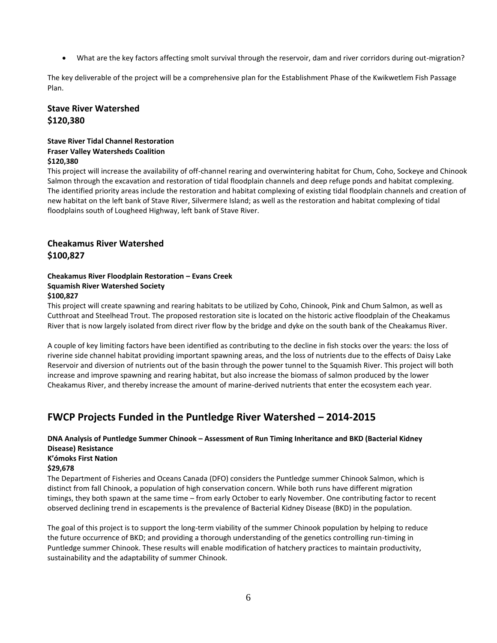What are the key factors affecting smolt survival through the reservoir, dam and river corridors during out-migration?

The key deliverable of the project will be a comprehensive plan for the Establishment Phase of the Kwikwetlem Fish Passage Plan.

### **Stave River Watershed \$120,380**

### **Stave River Tidal Channel Restoration Fraser Valley Watersheds Coalition \$120,380**

This project will increase the availability of off-channel rearing and overwintering habitat for Chum, Coho, Sockeye and Chinook Salmon through the excavation and restoration of tidal floodplain channels and deep refuge ponds and habitat complexing. The identified priority areas include the restoration and habitat complexing of existing tidal floodplain channels and creation of new habitat on the left bank of Stave River, Silvermere Island; as well as the restoration and habitat complexing of tidal floodplains south of Lougheed Highway, left bank of Stave River.

# **Cheakamus River Watershed \$100,827**

#### **Cheakamus River Floodplain Restoration – Evans Creek Squamish River Watershed Society \$100,827**

This project will create spawning and rearing habitats to be utilized by Coho, Chinook, Pink and Chum Salmon, as well as Cutthroat and Steelhead Trout. The proposed restoration site is located on the historic active floodplain of the Cheakamus River that is now largely isolated from direct river flow by the bridge and dyke on the south bank of the Cheakamus River.

A couple of key limiting factors have been identified as contributing to the decline in fish stocks over the years: the loss of riverine side channel habitat providing important spawning areas, and the loss of nutrients due to the effects of Daisy Lake Reservoir and diversion of nutrients out of the basin through the power tunnel to the Squamish River. This project will both increase and improve spawning and rearing habitat, but also increase the biomass of salmon produced by the lower Cheakamus River, and thereby increase the amount of marine-derived nutrients that enter the ecosystem each year.

# **FWCP Projects Funded in the Puntledge River Watershed – 2014-2015**

# **DNA Analysis of Puntledge Summer Chinook – Assessment of Run Timing Inheritance and BKD (Bacterial Kidney Disease) Resistance**

### **K'ómoks First Nation**

### **\$29,678**

The Department of Fisheries and Oceans Canada (DFO) considers the Puntledge summer Chinook Salmon, which is distinct from fall Chinook, a population of high conservation concern. While both runs have different migration timings, they both spawn at the same time – from early October to early November. One contributing factor to recent observed declining trend in escapements is the prevalence of Bacterial Kidney Disease (BKD) in the population.

The goal of this project is to support the long-term viability of the summer Chinook population by helping to reduce the future occurrence of BKD; and providing a thorough understanding of the genetics controlling run-timing in Puntledge summer Chinook. These results will enable modification of hatchery practices to maintain productivity, sustainability and the adaptability of summer Chinook.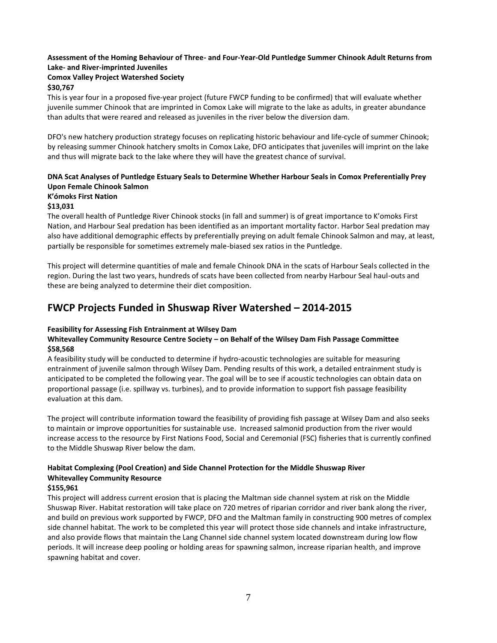### **Assessment of the Homing Behaviour of Three- and Four-Year-Old Puntledge Summer Chinook Adult Returns from Lake- and River-imprinted Juveniles**

# **Comox Valley Project Watershed Society**

### **\$30,767**

This is year four in a proposed five-year project (future FWCP funding to be confirmed) that will evaluate whether juvenile summer Chinook that are imprinted in Comox Lake will migrate to the lake as adults, in greater abundance than adults that were reared and released as juveniles in the river below the diversion dam.

DFO's new hatchery production strategy focuses on replicating historic behaviour and life‐cycle of summer Chinook; by releasing summer Chinook hatchery smolts in Comox Lake, DFO anticipates that juveniles will imprint on the lake and thus will migrate back to the lake where they will have the greatest chance of survival.

### **DNA Scat Analyses of Puntledge Estuary Seals to Determine Whether Harbour Seals in Comox Preferentially Prey Upon Female Chinook Salmon K'ómoks First Nation**

# **\$13,031**

The overall health of Puntledge River Chinook stocks (in fall and summer) is of great importance to K'omoks First Nation, and Harbour Seal predation has been identified as an important mortality factor. Harbor Seal predation may also have additional demographic effects by preferentially preying on adult female Chinook Salmon and may, at least, partially be responsible for sometimes extremely male-biased sex ratios in the Puntledge.

This project will determine quantities of male and female Chinook DNA in the scats of Harbour Seals collected in the region. During the last two years, hundreds of scats have been collected from nearby Harbour Seal haul-outs and these are being analyzed to determine their diet composition.

# **FWCP Projects Funded in Shuswap River Watershed – 2014-2015**

### **Feasibility for Assessing Fish Entrainment at Wilsey Dam**

### **Whitevalley Community Resource Centre Society – on Behalf of the Wilsey Dam Fish Passage Committee \$58,568**

A feasibility study will be conducted to determine if hydro-acoustic technologies are suitable for measuring entrainment of juvenile salmon through Wilsey Dam. Pending results of this work, a detailed entrainment study is anticipated to be completed the following year. The goal will be to see if acoustic technologies can obtain data on proportional passage (i.e. spillway vs. turbines), and to provide information to support fish passage feasibility evaluation at this dam.

The project will contribute information toward the feasibility of providing fish passage at Wilsey Dam and also seeks to maintain or improve opportunities for sustainable use. Increased salmonid production from the river would increase access to the resource by First Nations Food, Social and Ceremonial (FSC) fisheries that is currently confined to the Middle Shuswap River below the dam.

### **Habitat Complexing (Pool Creation) and Side Channel Protection for the Middle Shuswap River Whitevalley Community Resource**

### **\$155,961**

This project will address current erosion that is placing the Maltman side channel system at risk on the Middle Shuswap River. Habitat restoration will take place on 720 metres of riparian corridor and river bank along the river, and build on previous work supported by FWCP, DFO and the Maltman family in constructing 900 metres of complex side channel habitat. The work to be completed this year will protect those side channels and intake infrastructure, and also provide flows that maintain the Lang Channel side channel system located downstream during low flow periods. It will increase deep pooling or holding areas for spawning salmon, increase riparian health, and improve spawning habitat and cover.